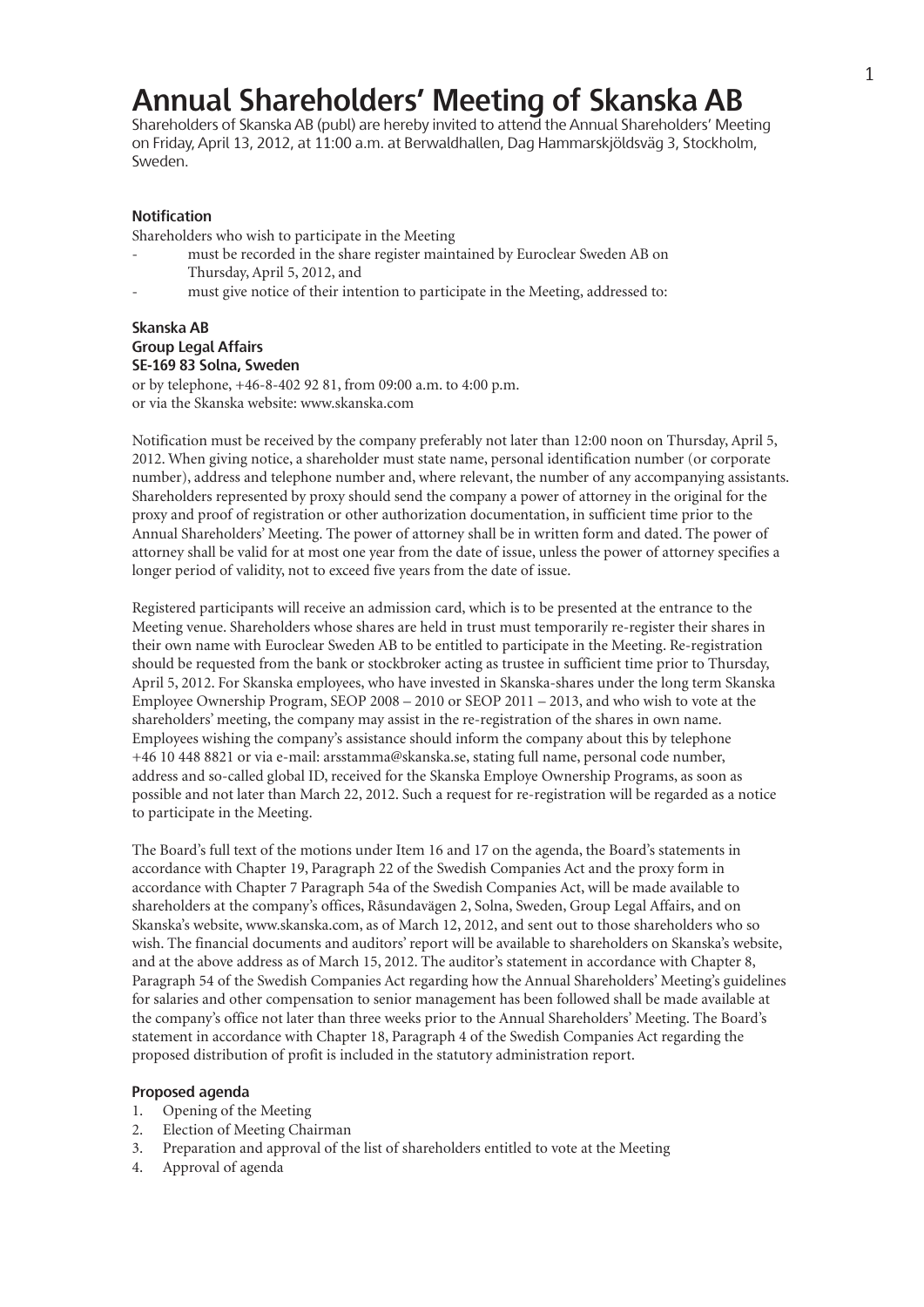## **Annual Shareholders' Meeting of Skanska AB**

Shareholders of Skanska AB (publ) are hereby invited to attend the Annual Shareholders' Meeting on Friday, April 13, 2012, at 11:00 a.m. at Berwaldhallen, Dag Hammarskjöldsväg 3, Stockholm, Sweden.

## **Notification**

Shareholders who wish to participate in the Meeting

- must be recorded in the share register maintained by Euroclear Sweden AB on Thursday, April 5, 2012, and
- must give notice of their intention to participate in the Meeting, addressed to:

## **Skanska AB Group Legal Affairs SE-169 83 Solna, Sweden**

or by telephone, +46-8-402 92 81, from 09:00 a.m. to 4:00 p.m. or via the Skanska website: www.skanska.com

Notification must be received by the company preferably not later than 12:00 noon on Thursday, April 5, 2012. When giving notice, a shareholder must state name, personal identification number (or corporate number), address and telephone number and, where relevant, the number of any accompanying assistants. Shareholders represented by proxy should send the company a power of attorney in the original for the proxy and proof of registration or other authorization documentation, in sufficient time prior to the Annual Shareholders' Meeting. The power of attorney shall be in written form and dated. The power of attorney shall be valid for at most one year from the date of issue, unless the power of attorney specifies a longer period of validity, not to exceed five years from the date of issue.

Registered participants will receive an admission card, which is to be presented at the entrance to the Meeting venue. Shareholders whose shares are held in trust must temporarily re-register their shares in their own name with Euroclear Sweden AB to be entitled to participate in the Meeting. Re-registration should be requested from the bank or stockbroker acting as trustee in sufficient time prior to Thursday, April 5, 2012. For Skanska employees, who have invested in Skanska-shares under the long term Skanska Employee Ownership Program, SEOP 2008 – 2010 or SEOP 2011 – 2013, and who wish to vote at the shareholders' meeting, the company may assist in the re-registration of the shares in own name. Employees wishing the company's assistance should inform the company about this by telephone +46 10 448 8821 or via e-mail: arsstamma@skanska.se, stating full name, personal code number, address and so-called global ID, received for the Skanska Employe Ownership Programs, as soon as possible and not later than March 22, 2012. Such a request for re-registration will be regarded as a notice to participate in the Meeting.

The Board's full text of the motions under Item 16 and 17 on the agenda, the Board's statements in accordance with Chapter 19, Paragraph 22 of the Swedish Companies Act and the proxy form in accordance with Chapter 7 Paragraph 54a of the Swedish Companies Act, will be made available to shareholders at the company's offices, Råsundavägen 2, Solna, Sweden, Group Legal Affairs, and on Skanska's website, www.skanska.com, as of March 12, 2012, and sent out to those shareholders who so wish. The financial documents and auditors'report will be available to shareholders on Skanska's website, and at the above address as of March 15, 2012. The auditor's statement in accordance with Chapter 8, Paragraph 54 of the Swedish Companies Act regarding how the Annual Shareholders' Meeting's guidelines for salaries and other compensation to senior management has been followed shall be made available at the company's office not later than three weeks prior to the Annual Shareholders' Meeting. The Board's statement in accordance with Chapter 18, Paragraph 4 of the Swedish Companies Act regarding the proposed distribution of profit is included in the statutory administration report.

### **Proposed agenda**

- 1. Opening of the Meeting
- 2. Election of Meeting Chairman
- 3. Preparation and approval of the list of shareholders entitled to vote at the Meeting
- 4. Approval of agenda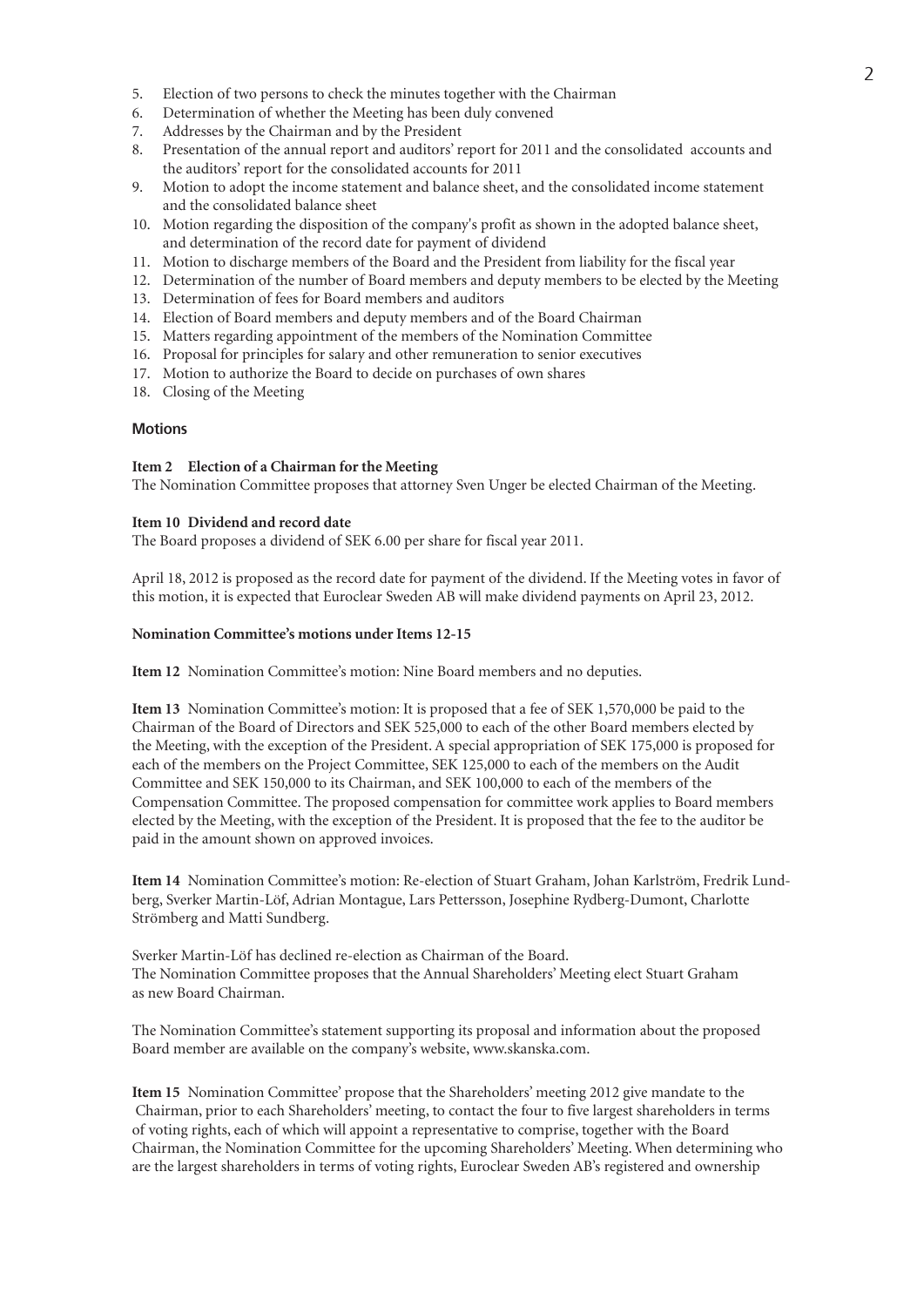- 5. Election of two persons to check the minutes together with the Chairman
- 6. Determination of whether the Meeting has been duly convened
- 7. Addresses by the Chairman and by the President
- 8. Presentation of the annual report and auditors'report for 2011 and the consolidated accounts and the auditors' report for the consolidated accounts for 2011
- 9. Motion to adopt the income statement and balance sheet, and the consolidated income statement and the consolidated balance sheet
- 10. Motion regarding the disposition of the company's profit as shown in the adopted balance sheet, and determination of the record date for payment of dividend
- 11. Motion to discharge members of the Board and the President from liability for the fiscal year
- 12. Determination of the number of Board members and deputy members to be elected by the Meeting
- 13. Determination of fees for Board members and auditors
- 14. Election of Board members and deputy members and of the Board Chairman
- 15. Matters regarding appointment of the members of the Nomination Committee
- 16. Proposal for principles for salary and other remuneration to senior executives
- 17. Motion to authorize the Board to decide on purchases of own shares
- 18. Closing of the Meeting

#### **Motions**

#### **Item 2 Election of a Chairman forthe Meeting**

The Nomination Committee proposes that attorney Sven Unger be elected Chairman of the Meeting.

#### **Item 10 Dividend and record date**

The Board proposes a dividend of SEK 6.00 per share for fiscal year 2011.

April 18, 2012 is proposed as the record date for payment of the dividend. If the Meeting votes in favor of this motion, it is expected that Euroclear Sweden AB will make dividend payments on April 23, 2012.

#### **Nomination Committee's motions under Items 12-15**

**Item 12** Nomination Committee's motion: Nine Board members and no deputies.

**Item 13** Nomination Committee's motion: It is proposed that a fee of SEK 1,570,000 be paid to the Chairman of the Board of Directors and SEK 525,000 to each of the other Board members elected by the Meeting, with the exception of the President. A special appropriation of SEK 175,000 is proposed for each of the members on the Project Committee, SEK 125,000 to each of the members on the Audit Committee and SEK 150,000 to its Chairman, and SEK 100,000 to each of the members of the Compensation Committee. The proposed compensation for committee work applies to Board members elected by the Meeting, with the exception of the President. It is proposed that the fee to the auditor be paid in the amount shown on approved invoices.

**Item 14** Nomination Committee's motion: Re-election of Stuart Graham, Johan Karlström, Fredrik Lundberg, Sverker Martin-Löf, Adrian Montague, Lars Pettersson, Josephine Rydberg-Dumont, Charlotte Strömberg and Matti Sundberg.

Sverker Martin-Löf has declined re-election as Chairman of the Board. The Nomination Committee proposes that the Annual Shareholders' Meeting elect Stuart Graham as new Board Chairman.

The Nomination Committee's statement supporting its proposal and information about the proposed Board member are available on the company's website, www.skanska.com.

**Item 15** Nomination Committee' propose that the Shareholders' meeting 2012 give mandate to the Chairman, prior to each Shareholders' meeting, to contact the four to five largest shareholders in terms of voting rights, each of which will appoint a representative to comprise, together with the Board Chairman, the Nomination Committee for the upcoming Shareholders' Meeting. When determining who are the largest shareholders in terms of voting rights, Euroclear Sweden AB's registered and ownership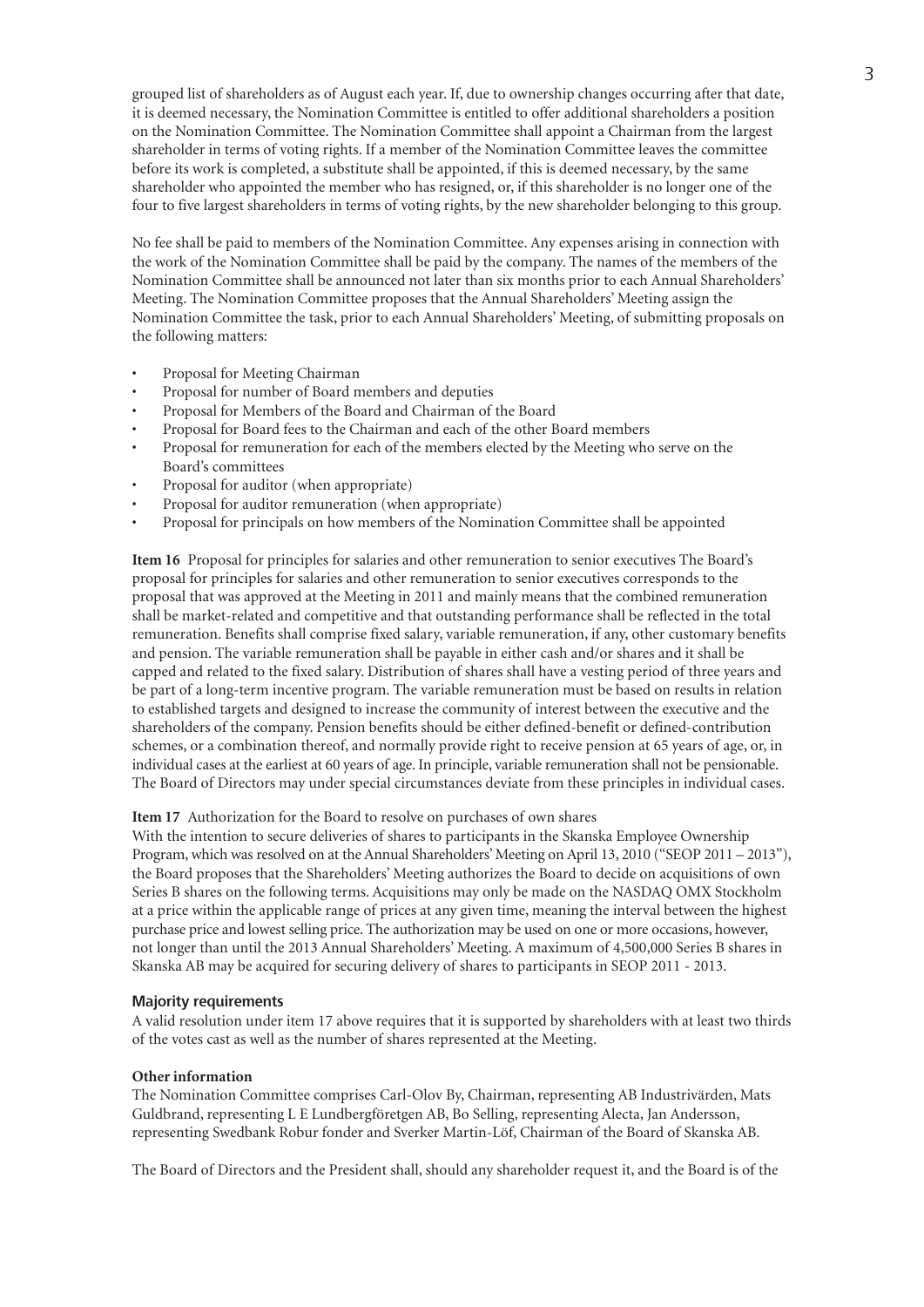grouped list of shareholders as of August each year. If, due to ownership changes occurring after that date, it is deemed necessary, the Nomination Committee is entitled to offer additional shareholders a position on the Nomination Committee. The Nomination Committee shall appoint a Chairman from the largest shareholder in terms of voting rights. If a member of the Nomination Committee leaves the committee before its work is completed, a substitute shall be appointed, if this is deemed necessary, by the same shareholder who appointed the member who has resigned, or, if this shareholder is no longer one of the four to five largest shareholders in terms of voting rights, by the new shareholder belonging to this group.

No fee shall be paid to members of the Nomination Committee. Any expenses arising in connection with the work of the Nomination Committee shall be paid by the company. The names of the members of the Nomination Committee shall be announced not later than six months prior to each Annual Shareholders' Meeting. The Nomination Committee proposes that the Annual Shareholders' Meeting assign the Nomination Committee the task, prior to each Annual Shareholders' Meeting, of submitting proposals on the following matters:

- Proposal for Meeting Chairman
- Proposal for number of Board members and deputies
- Proposal for Members of the Board and Chairman of the Board
- Proposal for Board fees to the Chairman and each of the other Board members
- Proposal for remuneration for each of the members elected by the Meeting who serve on the Board's committees
- Proposal for auditor (when appropriate)
- Proposal for auditor remuneration (when appropriate)
- Proposal for principals on how members of the Nomination Committee shall be appointed

**Item 16** Proposal for principles for salaries and other remuneration to senior executives The Board's proposal for principles for salaries and other remuneration to senior executives corresponds to the proposal that was approved at the Meeting in 2011 and mainly means that the combined remuneration shall be market-related and competitive and that outstanding performance shall be reflected in the total remuneration. Benefits shall comprise fixed salary, variable remuneration, if any, other customary benefits and pension. The variable remuneration shall be payable in either cash and/or shares and it shall be capped and related to the fixed salary. Distribution of shares shall have a vesting period of three years and be part of a long-term incentive program. The variable remuneration must be based on results in relation to established targets and designed to increase the community of interest between the executive and the shareholders of the company. Pension benefits should be either defined-benefit or defined-contribution schemes, or a combination thereof, and normally provide right to receive pension at 65 years of age, or, in individual cases at the earliest at 60 years of age. In principle, variable remuneration shall not be pensionable. The Board of Directors may under special circumstances deviate from these principles in individual cases.

**Item 17** Authorization for the Board to resolve on purchases of own shares

With the intention to secure deliveries of shares to participants in the Skanska Employee Ownership Program,which was resolved on at the Annual Shareholders' Meeting on April 13, 2010 ("SEOP 2011 – 2013"), the Board proposes that the Shareholders' Meeting authorizes the Board to decide on acquisitions of own Series B shares on the following terms. Acquisitions may only be made on the NASDAQ OMX Stockholm at a price within the applicable range of prices at any given time, meaning the interval between the highest purchase price and lowest selling price. The authorization may be used on one or more occasions, however, not longer than until the 2013 Annual Shareholders' Meeting. A maximum of 4,500,000 Series B shares in Skanska AB may be acquired for securing delivery of shares to participants in SEOP 2011 - 2013.

#### **Majority requirements**

A valid resolution under item 17 above requires that it is supported by shareholders with at least two thirds of the votes cast as well as the number of shares represented at the Meeting.

#### **Otherinformation**

The Nomination Committee comprises Carl-Olov By, Chairman, representing AB Industrivärden, Mats Guldbrand, representing L E Lundbergföretgen AB, Bo Selling, representing Alecta, Jan Andersson, representing Swedbank Robur fonder and Sverker Martin-Löf, Chairman of the Board of Skanska AB.

The Board of Directors and the President shall, should any shareholder request it, and the Board is of the